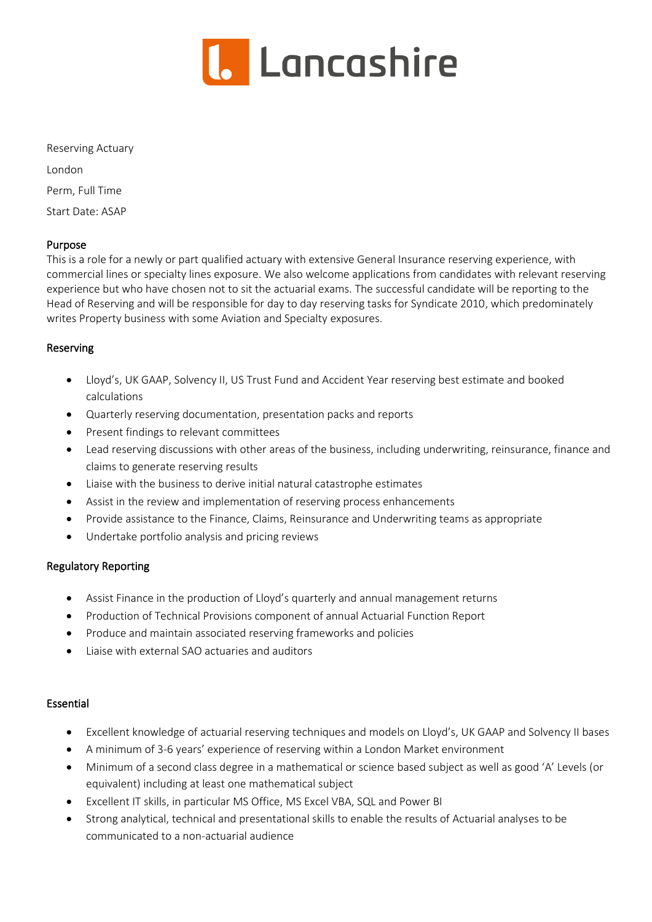

Reserving Actuary London Perm, Full Time Start Date: ASAP

## Purpose

This is a role for a newly or part qualified actuary with extensive General Insurance reserving experience, with commercial lines or specialty lines exposure. We also welcome applications from candidates with relevant reserving experience but who have chosen not to sit the actuarial exams. The successful candidate will be reporting to the Head of Reserving and will be responsible for day to day reserving tasks for Syndicate 2010, which predominately writes Property business with some Aviation and Specialty exposures.

## Reserving

- Lloyd's, UK GAAP, Solvency II, US Trust Fund and Accident Year reserving best estimate and booked calculations
- Quarterly reserving documentation, presentation packs and reports
- Present findings to relevant committees
- Lead reserving discussions with other areas of the business, including underwriting, reinsurance, finance and claims to generate reserving results
- Liaise with the business to derive initial natural catastrophe estimates
- Assist in the review and implementation of reserving process enhancements
- Provide assistance to the Finance, Claims, Reinsurance and Underwriting teams as appropriate
- Undertake portfolio analysis and pricing reviews

# Regulatory Reporting

- Assist Finance in the production of Lloyd's quarterly and annual management returns
- Production of Technical Provisions component of annual Actuarial Function Report
- Produce and maintain associated reserving frameworks and policies
- Liaise with external SAO actuaries and auditors

# Essential

- Excellent knowledge of actuarial reserving techniques and models on Lloyd's, UK GAAP and Solvency II bases
- A minimum of 3-6 years' experience of reserving within a London Market environment
- Minimum of a second class degree in a mathematical or science based subject as well as good 'A' Levels (or equivalent) including at least one mathematical subject
- Excellent IT skills, in particular MS Office, MS Excel VBA, SQL and Power BI
- Strong analytical, technical and presentational skills to enable the results of Actuarial analyses to be communicated to a non-actuarial audience